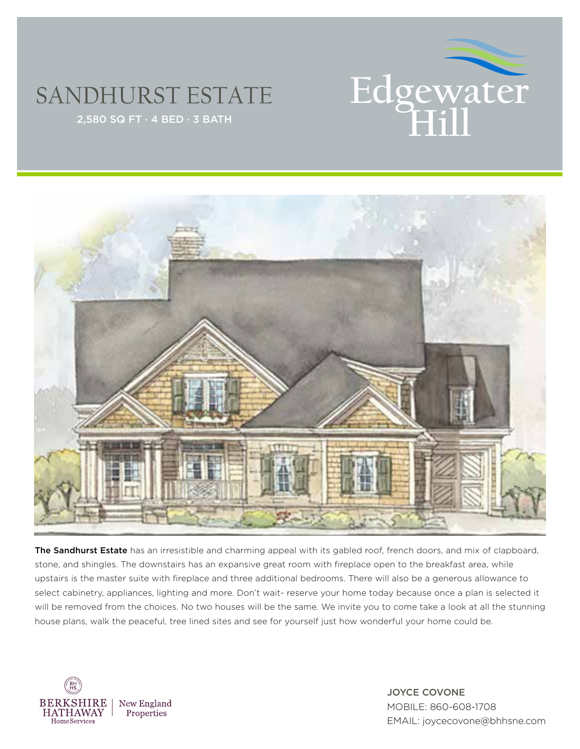

## SANDHURST ESTATE



The Sandhurst Estate has an irresistible and charming appeal with its gabled roof, french doors, and mix of clapboard, stone, and shingles. The downstairs has an expansive great room with fireplace open to the breakfast area, while upstairs is the master suite with fireplace and three additional bedrooms. There will also be a generous allowance to select cabinetry, appliances, lighting and more. Don't wait- reserve your home today because once a plan is selected it will be removed from the choices. No two houses will be the same. We invite you to come take a look at all the stunning house plans, walk the peaceful, tree lined sites and see for yourself just how wonderful your home could be.



JOYCE COVONE MOBILE: 860-608-1708 EMAIL: joycecovone@bhhsne.com